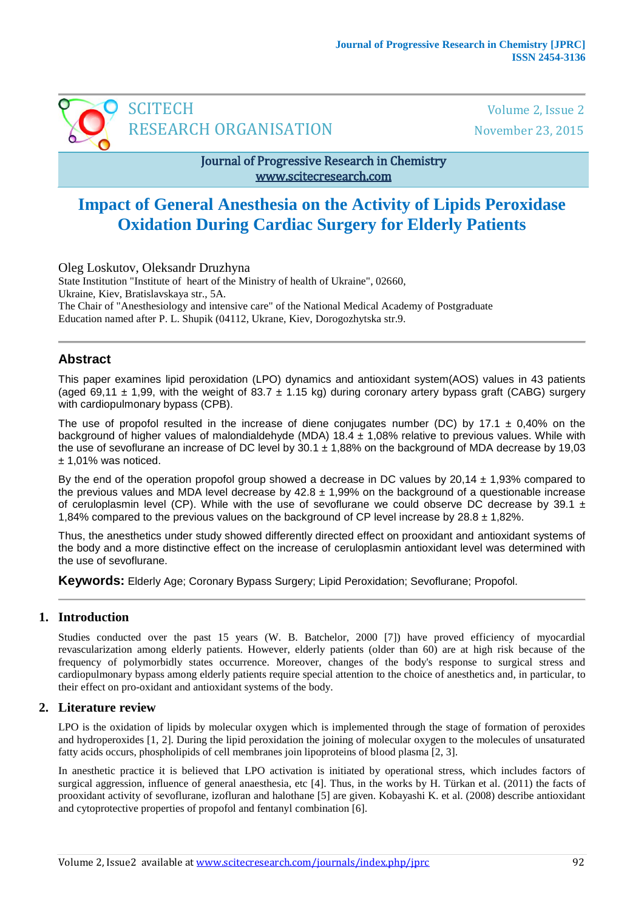

## Journal of Progressive Research in Chemistry www.scitecresearch.com

# **Impact of General Anesthesia on the Activity of Lipids Peroxidase Oxidation During Cardiac Surgery for Elderly Patients**

Oleg Loskutov, Oleksandr Druzhyna State Institution "Institute of heart of the Ministry of health of Ukraine", 02660, Ukraine, Kiev, Bratislavskaya str., 5A. The Chair of "Anesthesiology and intensive care" of the National Medical Academy of Postgraduate Education named after P. L. Shupik (04112, Ukrane, Kiev, Dorogozhytska str.9.

# **Abstract**

This paper examines lipid peroxidation (LPO) dynamics and antioxidant system(AOS) values in 43 patients (aged 69,11  $\pm$  1,99, with the weight of 83.7  $\pm$  1.15 kg) during coronary artery bypass graft (CABG) surgery with cardiopulmonary bypass (CPB).

The use of propofol resulted in the increase of diene conjugates number (DC) by 17.1  $\pm$  0,40% on the background of higher values of malondialdehyde (MDA) 18.4 ± 1,08% relative to previous values. While with the use of sevoflurane an increase of DC level by  $30.1 \pm 1,88\%$  on the background of MDA decrease by 19,03 ± 1,01% was noticed.

By the end of the operation propofol group showed a decrease in DC values by  $20.14 \pm 1.93\%$  compared to the previous values and MDA level decrease by  $42.8 \pm 1.99\%$  on the background of a questionable increase of ceruloplasmin level (CP). While with the use of sevoflurane we could observe DC decrease by 39.1  $\pm$ 1,84% compared to the previous values on the background of CP level increase by  $28.8 \pm 1.82$ %.

Thus, the anesthetics under study showed differently directed effect on prooxidant and antioxidant systems of the body and a more distinctive effect on the increase of ceruloplasmin antioxidant level was determined with the use of sevoflurane.

**Keywords:** Elderly Age; Coronary Bypass Surgery; Lipid Peroxidation; Sevoflurane; Propofol.

## **1. Introduction**

Studies conducted over the past 15 years (W. B. Batchelor, 2000 [7]) have proved efficiency of myocardial revascularization among elderly patients. However, elderly patients (older than 60) are at high risk because of the frequency of polymorbidly states occurrence. Moreover, changes of the body's response to surgical stress and cardiopulmonary bypass among elderly patients require special attention to the choice of anesthetics and, in particular, to their effect on pro-oxidant and antioxidant systems of the body.

## **2. Literature review**

LPO is the oxidation of lipids by molecular oxygen which is implemented through the stage of formation of peroxides and hydroperoxides [1, 2]. During the lipid peroxidation the joining of molecular oxygen to the molecules of unsaturated fatty acids occurs, phospholipids of cell membranes join lipoproteins of blood plasma [2, 3].

In anesthetic practice it is believed that LPO activation is initiated by operational stress, which includes factors of surgical aggression, influence of general anaesthesia, etc [4]. Thus, in the works by H. Türkan et al. (2011) the facts of prooxidant activity of sevoflurane, izofluran and halothane [5] are given. Kobayashi K. et al. (2008) describe antioxidant and cytoprotective properties of propofol and fentanyl combination [6].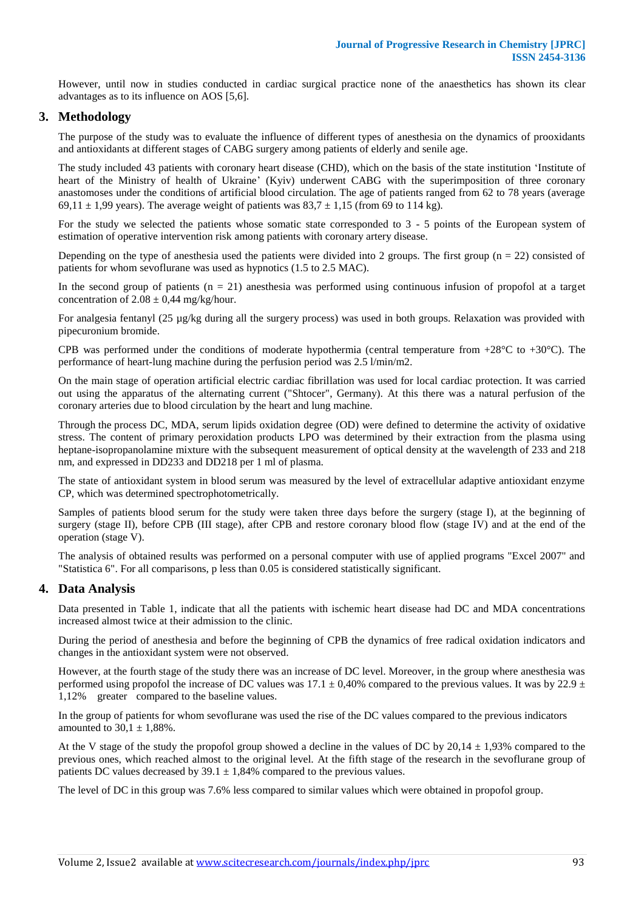However, until now in studies conducted in cardiac surgical practice none of the anaesthetics has shown its clear advantages as to its influence on AOS [5,6].

## **3. Methodology**

The purpose of the study was to evaluate the influence of different types of anesthesia on the dynamics of prooxidants and antioxidants at different stages of CABG surgery among patients of elderly and senile age.

The study included 43 patients with coronary heart disease (CHD), which on the basis of the state institution 'Institute of heart of the Ministry of health of Ukraine' (Kyiv) underwent CABG with the superimposition of three coronary anastomoses under the conditions of artificial blood circulation. The age of patients ranged from 62 to 78 years (average 69,11  $\pm$  1,99 years). The average weight of patients was 83,7  $\pm$  1,15 (from 69 to 114 kg).

For the study we selected the patients whose somatic state corresponded to 3 - 5 points of the European system of estimation of operative intervention risk among patients with coronary artery disease.

Depending on the type of anesthesia used the patients were divided into 2 groups. The first group ( $n = 22$ ) consisted of patients for whom sevoflurane was used as hypnotics (1.5 to 2.5 MAC).

In the second group of patients  $(n = 21)$  anesthesia was performed using continuous infusion of propofol at a target concentration of  $2.08 \pm 0.44$  mg/kg/hour.

For analgesia fentanyl (25 µg/kg during all the surgery process) was used in both groups. Relaxation was provided with pipecuronium bromide.

CPB was performed under the conditions of moderate hypothermia (central temperature from  $+28^{\circ}$ C to  $+30^{\circ}$ C). The performance of heart-lung machine during the perfusion period was 2.5 l/min/m2.

On the main stage of operation artificial electric cardiac fibrillation was used for local cardiac protection. It was carried out using the apparatus of the alternating current ("Shtocer", Germany). At this there was a natural perfusion of the coronary arteries due to blood circulation by the heart and lung machine.

Through the process DC, MDA, serum lipids oxidation degree (OD) were defined to determine the activity of oxidative stress. The content of primary peroxidation products LPO was determined by their extraction from the plasma using heptane-isopropanolamine mixture with the subsequent measurement of optical density at the wavelength of 233 and 218 nm, and expressed in DD233 and DD218 per 1 ml of plasma.

The state of antioxidant system in blood serum was measured by the level of extracellular adaptive antioxidant enzyme CP, which was determined spectrophotometrically.

Samples of patients blood serum for the study were taken three days before the surgery (stage I), at the beginning of surgery (stage II), before CPB (III stage), after CPB and restore coronary blood flow (stage IV) and at the end of the operation (stage V).

The analysis of obtained results was performed on a personal computer with use of applied programs "Excel 2007" and "Statistica 6". For all comparisons, p less than 0.05 is considered statistically significant.

#### **4. Data Analysis**

Data presented in Table 1, indicate that all the patients with ischemic heart disease had DC and MDA concentrations increased almost twice at their admission to the clinic.

During the period of anesthesia and before the beginning of CPB the dynamics of free radical oxidation indicators and changes in the antioxidant system were not observed.

However, at the fourth stage of the study there was an increase of DC level. Moreover, in the group where anesthesia was performed using propofol the increase of DC values was 17.1  $\pm$  0,40% compared to the previous values. It was by 22.9  $\pm$ 1,12% greater compared to the baseline values.

In the group of patients for whom sevoflurane was used the rise of the DC values compared to the previous indicators amounted to  $30.1 \pm 1,88\%$ .

At the V stage of the study the propofol group showed a decline in the values of DC by  $20.14 \pm 1.93\%$  compared to the previous ones, which reached almost to the original level. At the fifth stage of the research in the sevoflurane group of patients DC values decreased by  $39.1 \pm 1,84\%$  compared to the previous values.

The level of DC in this group was 7.6% less compared to similar values which were obtained in propofol group.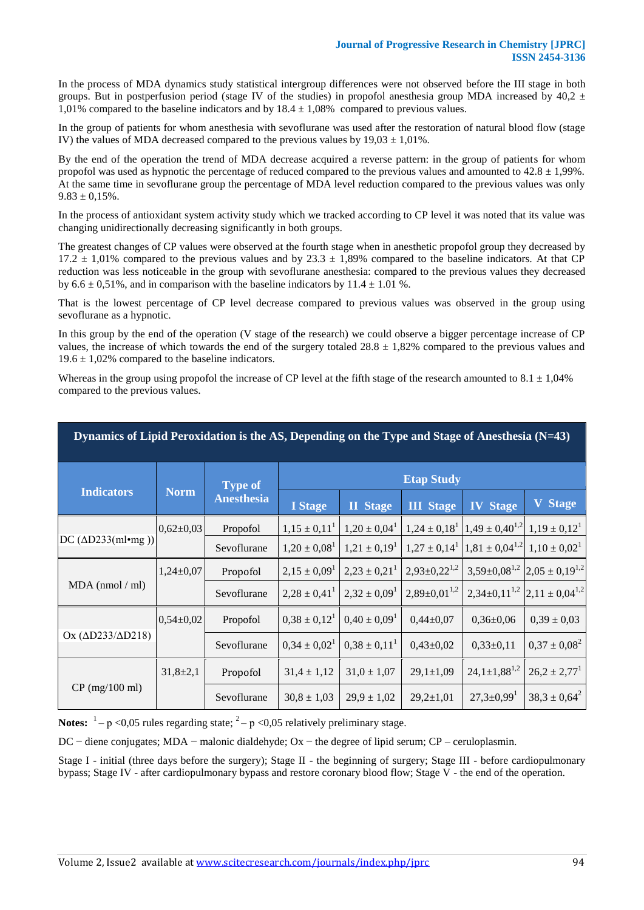In the process of MDA dynamics study statistical intergroup differences were not observed before the III stage in both groups. But in postperfusion period (stage IV of the studies) in propofol anesthesia group MDA increased by  $40.2 \pm$ 1,01% compared to the baseline indicators and by  $18.4 \pm 1,08\%$  compared to previous values.

In the group of patients for whom anesthesia with sevoflurane was used after the restoration of natural blood flow (stage IV) the values of MDA decreased compared to the previous values by  $19.03 \pm 1.01\%$ .

By the end of the operation the trend of MDA decrease acquired a reverse pattern: in the group of patients for whom propofol was used as hypnotic the percentage of reduced compared to the previous values and amounted to  $42.8 \pm 1,99\%$ . At the same time in sevoflurane group the percentage of MDA level reduction compared to the previous values was only  $9.83 \pm 0.15\%$ .

In the process of antioxidant system activity study which we tracked according to CP level it was noted that its value was changing unidirectionally decreasing significantly in both groups.

The greatest changes of CP values were observed at the fourth stage when in anesthetic propofol group they decreased by 17.2  $\pm$  1,01% compared to the previous values and by 23.3  $\pm$  1,89% compared to the baseline indicators. At that CP reduction was less noticeable in the group with sevoflurane anesthesia: compared to the previous values they decreased by  $6.6 \pm 0.51\%$ , and in comparison with the baseline indicators by  $11.4 \pm 1.01\%$ .

That is the lowest percentage of CP level decrease compared to previous values was observed in the group using sevoflurane as a hypnotic.

In this group by the end of the operation (V stage of the research) we could observe a bigger percentage increase of CP values, the increase of which towards the end of the surgery totaled  $28.8 \pm 1,82\%$  compared to the previous values and  $19.6 \pm 1,02\%$  compared to the baseline indicators.

Whereas in the group using propofol the increase of CP level at the fifth stage of the research amounted to  $8.1 \pm 1,04\%$ compared to the previous values.

| Dynamics of Lipid Peroxidation is the AS, Depending on the Type and Stage of Anesthesia (N=43) |                 |                                     |                   |                              |                       |                                           |                                                      |
|------------------------------------------------------------------------------------------------|-----------------|-------------------------------------|-------------------|------------------------------|-----------------------|-------------------------------------------|------------------------------------------------------|
| <b>Indicators</b>                                                                              | <b>Norm</b>     | <b>Type of</b><br><b>Anesthesia</b> | <b>Etap Study</b> |                              |                       |                                           |                                                      |
|                                                                                                |                 |                                     | <b>I</b> Stage    | <b>II</b> Stage              | <b>III</b> Stage      | <b>IV</b> Stage                           | <b>V</b> Stage                                       |
| $DC (\Delta D233(ml•mg))$                                                                      | $0,62{\pm}0,03$ | Propofol                            | $1,15 \pm 0,11^1$ | $1,20 \pm 0,04^1$            | $1,24 \pm 0,18^1$     | $1,49 \pm 0,40^{1,2}$ $1,19 \pm 0,12^{1}$ |                                                      |
|                                                                                                |                 | Sevoflurane                         | $1,20 \pm 0,08^1$ | $1,21 \pm 0,19^1$            | $1,27 \pm 0,14^1$     | $1,81 \pm 0,04^{1,2}$                     | $1,10 \pm 0,02^1$                                    |
| $MDA$ (nmol / ml)                                                                              | $1,24\pm0,07$   | Propofol                            | $2,15 \pm 0,09^1$ | $2,23 \pm 0,21^1$            | $2,93\pm0,22^{1,2}$   |                                           | $3,59\pm0,08^{1,2}$ $\left 2,05\pm0,19^{1,2}\right $ |
|                                                                                                |                 | Sevoflurane                         | $2,28 \pm 0,41^1$ | $2,32 \pm 0,09^1$            | $2,89 \pm 0,01^{1,2}$ |                                           | $2,34\pm0,11^{1,2}$ 2,11 $\pm$ 0,04 <sup>1,2</sup>   |
| Ox $(\Delta D233/\Delta D218)$                                                                 | $0,54\pm0,02$   | Propofol                            | $0,38 \pm 0,12^1$ | $0.40 \pm 0.09$ <sup>1</sup> | $0,44\pm0,07$         | $0,36 \pm 0,06$                           | $0,39 \pm 0,03$                                      |
|                                                                                                |                 | Sevoflurane                         | $0.34 \pm 0.02^1$ | $0.38 \pm 0.11^1$            | $0,43\pm0,02$         | $0,33\pm0,11$                             | $0,37 \pm 0,08^2$                                    |
| $CP$ (mg/100 ml)                                                                               | $31,8{\pm}2,1$  | Propofol                            | $31,4 \pm 1,12$   | $31,0 \pm 1,07$              | $29,1 \pm 1,09$       | $24,1 \pm 1,88^{1,2}$                     | $26.2 \pm 2.77$ <sup>1</sup>                         |
|                                                                                                |                 | Sevoflurane                         | $30,8 \pm 1,03$   | $29.9 \pm 1.02$              | $29,2{\pm}1,01$       | $27,3 \pm 0.99$ <sup>1</sup>              | $38.3 \pm 0.64^2$                                    |

Notes:  $1 - p \lt 0.05$  rules regarding state;  $2 - p \lt 0.05$  relatively preliminary stage.

DC – diene conjugates; MDA – malonic dialdehyde; Ox – the degree of lipid serum; CP – ceruloplasmin.

Stage I - initial (three days before the surgery); Stage II - the beginning of surgery; Stage III - before cardiopulmonary bypass; Stage IV - after cardiopulmonary bypass and restore coronary blood flow; Stage  $\bar{V}$  - the end of the operation.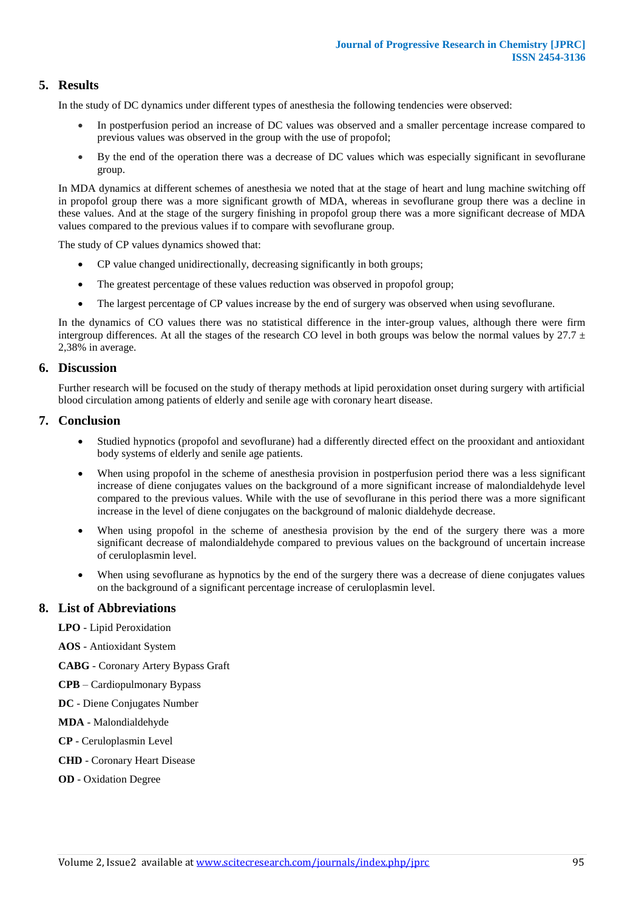## **5. Results**

In the study of DC dynamics under different types of anesthesia the following tendencies were observed:

- In postperfusion period an increase of DC values was observed and a smaller percentage increase compared to previous values was observed in the group with the use of propofol;
- By the end of the operation there was a decrease of DC values which was especially significant in sevoflurane group.

In MDA dynamics at different schemes of anesthesia we noted that at the stage of heart and lung machine switching off in propofol group there was a more significant growth of MDA, whereas in sevoflurane group there was a decline in these values. And at the stage of the surgery finishing in propofol group there was a more significant decrease of MDA values compared to the previous values if to compare with sevoflurane group.

The study of CP values dynamics showed that:

- CP value changed unidirectionally, decreasing significantly in both groups;
- The greatest percentage of these values reduction was observed in propofol group;
- The largest percentage of CP values increase by the end of surgery was observed when using sevoflurane.

In the dynamics of CO values there was no statistical difference in the inter-group values, although there were firm intergroup differences. At all the stages of the research CO level in both groups was below the normal values by  $27.7 \pm 10^{-10}$ 2,38% in average.

#### **6. Discussion**

Further research will be focused on the study of therapy methods at lipid peroxidation onset during surgery with artificial blood circulation among patients of elderly and senile age with coronary heart disease.

#### **7. Conclusion**

- Studied hypnotics (propofol and sevoflurane) had a differently directed effect on the prooxidant and antioxidant body systems of elderly and senile age patients.
- When using propofol in the scheme of anesthesia provision in postperfusion period there was a less significant increase of diene conjugates values on the background of a more significant increase of malondialdehyde level compared to the previous values. While with the use of sevoflurane in this period there was a more significant increase in the level of diene conjugates on the background of malonic dialdehyde decrease.
- When using propofol in the scheme of anesthesia provision by the end of the surgery there was a more significant decrease of malondialdehyde compared to previous values on the background of uncertain increase of ceruloplasmin level.
- When using sevoflurane as hypnotics by the end of the surgery there was a decrease of diene conjugates values on the background of a significant percentage increase of ceruloplasmin level.

#### **8. List of Abbreviations**

**LPO** - Lipid Peroxidation

**AOS** - Antioxidant System

**CABG** - Coronary Artery Bypass Graft

**CPB** – Cardiopulmonary Bypass

**DC** - Diene Conjugates Number

**MDA** - Malondialdehyde

**CP** - Ceruloplasmin Level

- **CHD** Coronary Heart Disease
- **OD** Oxidation Degree